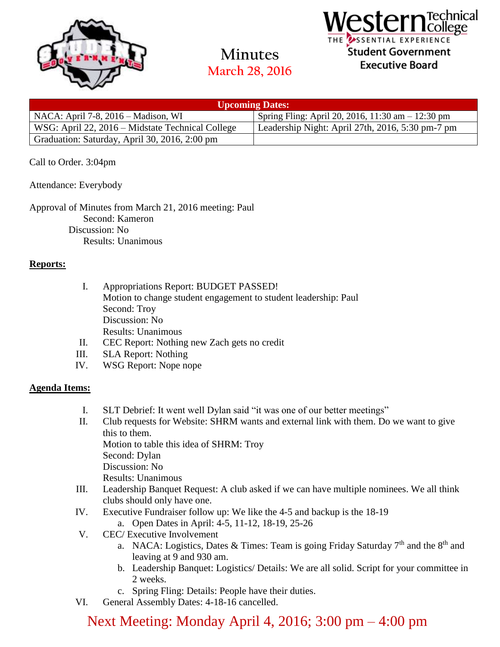

**Minutes March 28, 2016**



| <b>Upcoming Dates:</b>                           |                                                     |
|--------------------------------------------------|-----------------------------------------------------|
| NACA: April 7-8, $2016$ – Madison, WI            | Spring Fling: April 20, 2016, 11:30 am $- 12:30$ pm |
| WSG: April 22, 2016 – Midstate Technical College | Leadership Night: April 27th, 2016, 5:30 pm-7 pm    |
| Graduation: Saturday, April 30, 2016, 2:00 pm    |                                                     |

### Call to Order. 3:04pm

Attendance: Everybody

Approval of Minutes from March 21, 2016 meeting: Paul Second: Kameron Discussion: No Results: Unanimous

#### **Reports:**

- I. Appropriations Report: BUDGET PASSED! Motion to change student engagement to student leadership: Paul Second: Troy Discussion: No Results: Unanimous
- II. CEC Report: Nothing new Zach gets no credit
- III. SLA Report: Nothing
- IV. WSG Report: Nope nope

#### **Agenda Items:**

- I. SLT Debrief: It went well Dylan said "it was one of our better meetings"
- II. Club requests for Website: SHRM wants and external link with them. Do we want to give this to them.

Motion to table this idea of SHRM: Troy

Second: Dylan

Discussion: No

Results: Unanimous

- III. Leadership Banquet Request: A club asked if we can have multiple nominees. We all think clubs should only have one.
- IV. Executive Fundraiser follow up: We like the 4-5 and backup is the 18-19
	- a. Open Dates in April: 4-5, 11-12, 18-19, 25-26
- V. CEC/ Executive Involvement
	- a. NACA: Logistics, Dates & Times: Team is going Friday Saturday  $7<sup>th</sup>$  and the  $8<sup>th</sup>$  and leaving at 9 and 930 am.
	- b. Leadership Banquet: Logistics/ Details: We are all solid. Script for your committee in 2 weeks.
	- c. Spring Fling: Details: People have their duties.
- VI. General Assembly Dates: 4-18-16 cancelled.

# Next Meeting: Monday April 4, 2016; 3:00 pm – 4:00 pm